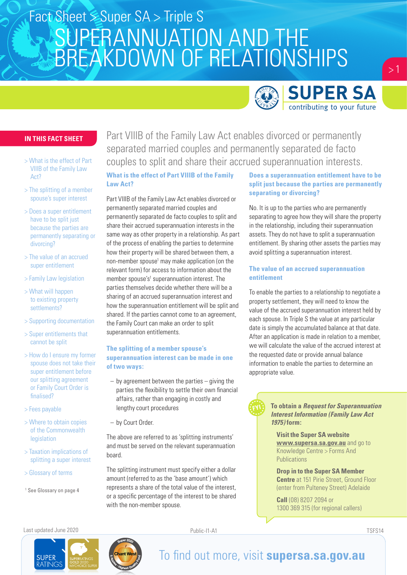

 $> 1$ 

#### **IN THIS FACT SHEET**

- > What is the effect of Part VIIIB of the Family Law Act?
- > The splitting of a member spouse's super interest
- > Does a super entitlement have to be split just because the parties are permanently separating or divorcing?
- > The value of an accrued super entitlement
- > Family Law legislation
- > What will happen to existing property settlements?
- > Supporting documentation
- > Super entitlements that cannot be split
- > How do I ensure my former spouse does not take their super entitlement before our splitting agreement or Family Court Order is finalised?
- > Fees payable
- > Where to obtain copies of the Commonwealth legislation
- > Taxation implications of splitting a super interest
- > Glossary of terms
- 1 See Glossary on page 4

Part VIIIB of the Family Law Act enables divorced or permanently separated married couples and permanently separated de facto couples to split and share their accrued superannuation interests.

#### **What is the effect of Part VIIIB of the Family Law Act?**

Part VIIIB of the Family Law Act enables divorced or permanently separated married couples and permanently separated de facto couples to split and share their accrued superannuation interests in the same way as other property in a relationship. As part of the process of enabling the parties to determine how their property will be shared between them, a non-member spouse<sup>1</sup> may make application (on the relevant form) for access to information about the member spouse's<sup>1</sup> superannuation interest. The parties themselves decide whether there will be a sharing of an accrued superannuation interest and how the superannuation entitlement will be split and shared. If the parties cannot come to an agreement, the Family Court can make an order to split superannuation entitlements.

#### **The splitting of a member spouse's superannuation interest can be made in one of two ways:**

- by agreement between the parties giving the parties the flexibility to settle their own financial affairs, rather than engaging in costly and lengthy court procedures
- by Court Order.

The above are referred to as 'splitting instruments' and must be served on the relevant superannuation board.

The splitting instrument must specify either a dollar amount (referred to as the 'base amount') which represents a share of the total value of the interest, or a specific percentage of the interest to be shared with the non-member spouse.

#### **Does a superannuation entitlement have to be split just because the parties are permanently separating or divorcing?**

No. It is up to the parties who are permanently separating to agree how they will share the property in the relationship, including their superannuation assets. They do not have to split a superannuation entitlement. By sharing other assets the parties may avoid splitting a superannuation interest.

#### **The value of an accrued superannuation entitlement**

To enable the parties to a relationship to negotiate a property settlement, they will need to know the value of the accrued superannuation interest held by each spouse. In Triple S the value at any particular date is simply the accumulated balance at that date. After an application is made in relation to a member, we will calculate the value of the accrued interest at the requested date or provide annual balance information to enable the parties to determine an appropriate value.



**Visit the Super SA website www.supersa.sa.gov.au** and go to Knowledge Centre > Forms And **Publications** 

**Drop in to the Super SA Member Centre** at 151 Pirie Street, Ground Floor (enter from Pulteney Street) Adelaide

**Call** (08) 8207 2094 or 1300 369 315 (for regional callers)

Last updated June 2020 Public-I1-A1 TSFS14

**SUPER** 

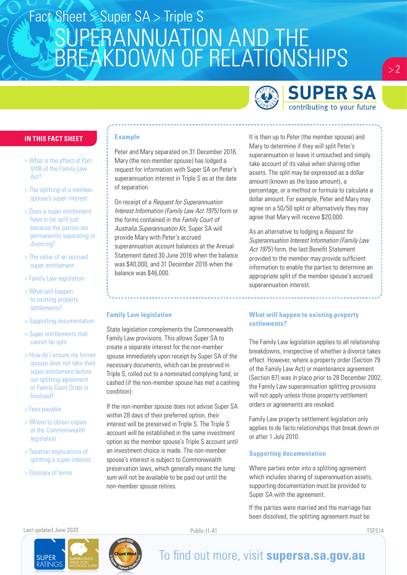

### **SUPER SA** contributing to your future

 $> 2$ 

#### **IN THIS FACT SHEET**

- > What is the effect of Part VIIIB of the Family Law Act?
- > The splitting of a member spouse's super interest
- > Does a super entitlement have to be split just because the parties are permanently separating or divorcing?
- > The value of an accrued super entitlement
- > Family Law legislation
- > What will happen to existing property settlements?
- > Supporting documentation
- > Super entitlements that cannot be split
- > How do I ensure my former spouse does not take their super entitlement before our splitting agreement or Family Court Order is finalised?
- > Fees payable
- > Where to obtain copies of the Commonwealth legislation
- > Taxation implications of splitting a super interest
- > Glossary of terms

#### **Example**

Peter and Mary separated on 31 December 2016. Mary (the non-member spouse) has lodged a request for information with Super SA on Peter's superannuation interest in Triple S as at the date of separation.

On receipt of a *Request for Superannuation Interest Information (Family Law Act 1975)* form or the forms contained in the *Family Court of Australia Superannuation Kit*, Super SA will provide Mary with Peter's accrued superannuation account balances at the Annual Statement dated 30 June 2016 when the balance was \$40,000, and 31 December 2016 when the balance was \$46,000.

#### It is then up to Peter (the member spouse) and Mary to determine if they will split Peter's superannuation or leave it untouched and simply take account of its value when sharing other assets. The split may be expressed as a dollar amount (known as the base amount), a percentage, or a method or formula to calculate a dollar amount. For example, Peter and Mary may agree on a 50/50 split or alternatively they may agree that Mary will receive \$20,000.

As an alternative to lodging a *Request for Superannuation Interest Information (Family Law Act 1975*) form, the last Benefit Statement provided to the member may provide sufficient information to enable the parties to determine an appropriate split of the member spouse's accrued superannuation interest.

#### **Family Law legislation**

State legislation complements the Commonwealth Family Law provisions. This allows Super SA to create a separate interest for the non-member spouse immediately upon receipt by Super SA of the necessary documents, which can be preserved in Triple S, rolled out to a nominated complying fund, or cashed (if the non-member spouse has met a cashing condition).

If the non-member spouse does not advise Super SA within 28 days of their preferred option, their interest will be preserved in Triple S. The Triple S account will be established in the same investment option as the member spouse's Triple S account until an investment choice is made. The non-member spouse's interest is subject to Commonwealth preservation laws, which generally means the lump sum will not be available to be paid out until the non-member spouse retires.

#### **What will happen to existing property settlements?**

The Family Law legislation applies to all relationship breakdowns, irrespective of whether a divorce takes effect. However, where a property order (Section 79 of the Family Law Act) or maintenance agreement (Section 87) was in place prior to 28 December 2002, the Family Law superannuation splitting provisions will not apply unless those property settlement orders or agreements are revoked.

Family Law property settlement legislation only applies to de facto relationships that break down on or after 1 July 2010.

#### **Supporting documentation**

Where parties enter into a splitting agreement which includes sharing of superannuation assets, supporting documentation must be provided to Super SA with the agreement.

If the parties were married and the marriage has been dissolved, the splitting agreement must be

Last updated June 2020 Public-I1-A1 TSFS14

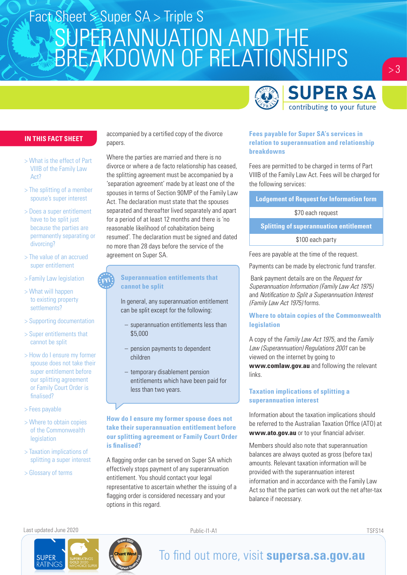

#### **IN THIS FACT SHEET**

- > What is the effect of Part VIIIB of the Family Law Act?
- > The splitting of a member spouse's super interest
- > Does a super entitlement have to be split just because the parties are permanently separating or divorcing?
- > The value of an accrued super entitlement
- > Family Law legislation
- > What will happen to existing property settlements?
- > Supporting documentation
- > Super entitlements that cannot be split
- > How do I ensure my former spouse does not take their super entitlement before our splitting agreement or Family Court Order is finalised?
- > Fees payable
- > Where to obtain copies of the Commonwealth legislation
- > Taxation implications of splitting a super interest
- > Glossary of terms

accompanied by a certified copy of the divorce papers.

Where the parties are married and there is no divorce or where a de facto relationship has ceased, the splitting agreement must be accompanied by a 'separation agreement' made by at least one of the spouses in terms of Section 90MP of the Family Law Act. The declaration must state that the spouses separated and thereafter lived separately and apart for a period of at least 12 months and there is 'no reasonable likelihood of cohabitation being resumed'. The declaration must be signed and dated no more than 28 days before the service of the agreement on Super SA.

#### **Superannuation entitlements that cannot be split**

In general, any superannuation entitlement can be split except for the following:

- superannuation entitlements less than \$5,000
- pension payments to dependent children
- temporary disablement pension entitlements which have been paid for less than two years.

#### **How do I ensure my former spouse does not take their superannuation entitlement before our splitting agreement or Family Court Order is finalised?**

A flagging order can be served on Super SA which effectively stops payment of any superannuation entitlement. You should contact your legal representative to ascertain whether the issuing of a flagging order is considered necessary and your options in this regard.

#### **Fees payable for Super SA's services in relation to superannuation and relationship breakdowns**

Fees are permitted to be charged in terms of Part VIIIB of the Family Law Act. Fees will be charged for the following services:

**Lodgement of Request for Information form**

\$70 each request

**Splitting of superannuation entitlement**

\$100 each party

Fees are payable at the time of the request.

Payments can be made by electronic fund transfer.

 Bank payment details are on the *Request for Superannuation Information (Family Law Act 1975)*  and *Notification to Split a Superannuation Interest (Family Law Act 1975)* forms.

#### **Where to obtain copies of the Commonwealth legislation**

A copy of the *Family Law Act 1975*, and the *Family Law (Superannuation) Regulations 2001* can be viewed on the internet by going to **www.comlaw.gov.au** and following the relevant links.

#### **Taxation implications of splitting a superannuation interest**

Information about the taxation implications should be referred to the Australian Taxation Office (ATO) at **www.ato.gov.au** or to your financial adviser.

Members should also note that superannuation balances are always quoted as gross (before tax) amounts. Relevant taxation information will be provided with the superannuation interest information and in accordance with the Family Law Act so that the parties can work out the net after-tax balance if necessary.

Last updated June 2020 Public-I1-A1 TSFS14